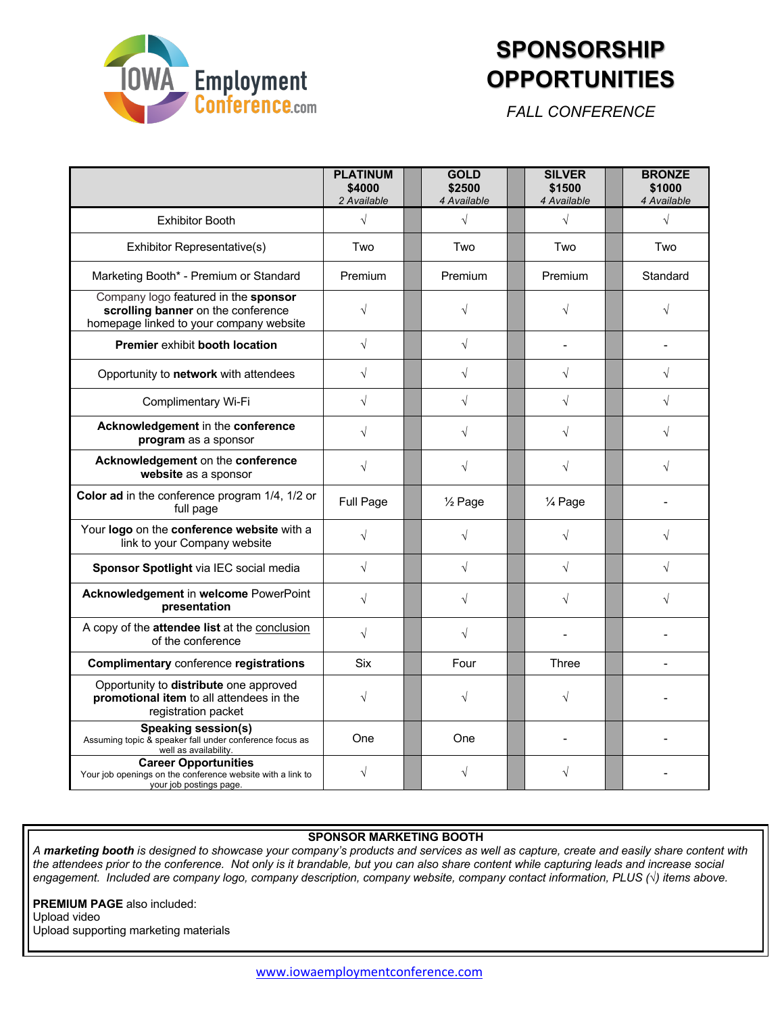

# **SPONSORSHIP OPPORTUNITIES**

*FALL CONFERENCE*

|                                                                                                                       | <b>PLATINUM</b><br>\$4000<br>2 Available | <b>GOLD</b><br>\$2500<br>4 Available | <b>SILVER</b><br>\$1500<br>4 Available | <b>BRONZE</b><br>\$1000<br>4 Available |
|-----------------------------------------------------------------------------------------------------------------------|------------------------------------------|--------------------------------------|----------------------------------------|----------------------------------------|
| <b>Exhibitor Booth</b>                                                                                                | $\sqrt{}$                                | $\sqrt{2}$                           | $\sqrt{ }$                             | $\sqrt{}$                              |
| Exhibitor Representative(s)                                                                                           | Two                                      | Two                                  | Two                                    | Two                                    |
| Marketing Booth* - Premium or Standard                                                                                | Premium                                  | Premium                              | Premium                                | Standard                               |
| Company logo featured in the sponsor<br>scrolling banner on the conference<br>homepage linked to your company website | $\sqrt{}$                                | V                                    |                                        | $\sqrt{}$                              |
| Premier exhibit booth location                                                                                        | $\sqrt{}$                                | $\sqrt{}$                            |                                        |                                        |
| Opportunity to network with attendees                                                                                 | $\sqrt{}$                                | $\sqrt{}$                            | $\sqrt{ }$                             | $\sqrt{}$                              |
| Complimentary Wi-Fi                                                                                                   | $\sqrt{}$                                | $\sqrt{}$                            | $\sqrt{}$                              | $\sqrt{}$                              |
| Acknowledgement in the conference<br>program as a sponsor                                                             | $\sqrt{}$                                | $\sqrt{}$                            | $\sqrt{}$                              | $\sqrt{}$                              |
| Acknowledgement on the conference<br>website as a sponsor                                                             | $\sqrt{}$                                | $\sqrt{}$                            | $\sqrt{}$                              | $\sqrt{}$                              |
| Color ad in the conference program 1/4, 1/2 or<br>full page                                                           | Full Page                                | $\frac{1}{2}$ Page                   | 1⁄4 Page                               |                                        |
| Your logo on the conference website with a<br>link to your Company website                                            | $\sqrt{}$                                | $\sqrt{}$                            |                                        | $\sqrt{}$                              |
| Sponsor Spotlight via IEC social media                                                                                | $\sqrt{}$                                | $\sqrt{}$                            | $\sqrt{ }$                             | $\sqrt{}$                              |
| Acknowledgement in welcome PowerPoint<br>presentation                                                                 | $\sqrt{}$                                | $\sqrt{}$                            | $\sqrt{}$                              | $\sqrt{}$                              |
| A copy of the attendee list at the conclusion<br>of the conference                                                    | $\sqrt{}$                                | $\sqrt{}$                            |                                        |                                        |
| <b>Complimentary conference registrations</b>                                                                         | Six                                      | Four                                 | Three                                  |                                        |
| Opportunity to distribute one approved<br>promotional item to all attendees in the<br>registration packet             | $\sqrt{}$                                | $\sqrt{}$                            | $\sqrt{}$                              |                                        |
| <b>Speaking session(s)</b><br>Assuming topic & speaker fall under conference focus as<br>well as availability.        | One                                      | One                                  |                                        |                                        |
| <b>Career Opportunities</b><br>Your job openings on the conference website with a link to<br>your job postings page.  |                                          | V                                    |                                        |                                        |

#### **SPONSOR MARKETING BOOTH**

*A marketing booth is designed to showcase your company's products and services as well as capture, create and easily share content with the attendees prior to the conference. Not only is it brandable, but you can also share content while capturing leads and increase social engagement. Included are company logo, company description, company website, company contact information, PLUS (√) items above.*

**PREMIUM PAGE** also included: Upload video Upload supporting marketing materials